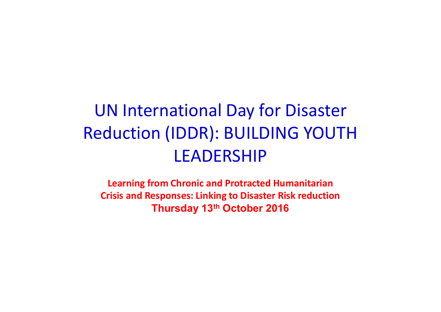# UN International Day for Disaster Reduction (IDDR): BUILDING YOUTH LEADERSHIP JN International Day for Disaster<br>cduction (IDDR): BUILDING YOUTH<br>LEADERSHIP<br>Learning from Chronic and Protracted Humanitarian<br>Crisis and Responses: Linking to Disaster Risk reduction<br>Thursday 13<sup>th</sup> October 2016

Learning from Chronic and Protracted Humanitarian Thursday 13th October 2016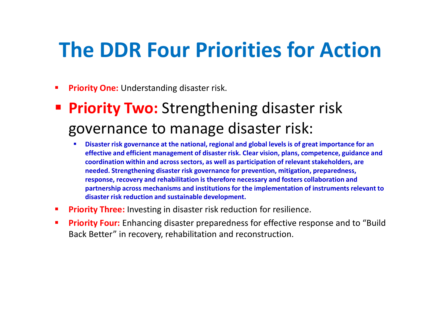## The DDR Four Priorities for Action

- **Priority One:** Understanding disaster risk.
- **Priority Two:** Strengthening disaster risk governance to manage disaster risk:
	- **Disaster risk governance at the national, regional and global levels is of great importance for an** effective and efficient management of disaster risk. Clear vision, plans, competence, guidance and coordination within and across sectors, as well as participation of relevant stakeholders, are needed. Strengthening disaster risk governance for prevention, mitigation, preparedness, response, recovery and rehabilitation is therefore necessary and fosters collaboration and partnership across mechanisms and institutions for the implementation of instruments relevant to disaster risk reduction and sustainable development.
- **Priority Three:** Investing in disaster risk reduction for resilience.
- **Priority Four:** Enhancing disaster preparedness for effective response and to "Build" Back Better" in recovery, rehabilitation and reconstruction.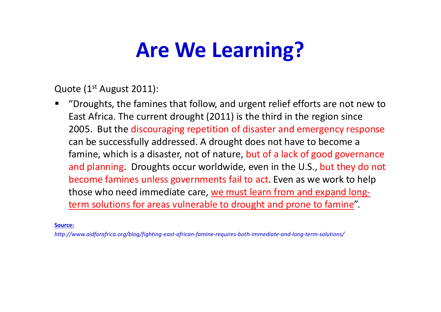## Are We Learning?

Quote (1<sup>st</sup> August 2011):

■ "Droughts, the famines that follow, and urgent relief efforts are not new to East Africa. The current drought (2011) is the third in the region since **Are We Learning?**<br>
2006. (1<sup>st</sup> August 2011):<br>
"Droughts, the famines that follow, and urgent relief efforts are not new to<br>
East Africa. The current drought (2011) is the third in the region since<br>
2005. But the discoura can be successfully addressed. A drought does not have to become a famine, which is a disaster, not of nature, but of a lack of good governance **Are We Learning?**<br>
Sote (1<sup>st</sup> August 2011):<br>
"Droughts, the famines that follow, and urgent relief efforts are not new to<br>
East Africa. The current drought (2011) is the third in the region since<br>
2005. But the discourag become famines unless governments fail to act. Even as we work to help those who need immediate care, we must learn from and expand longterm solutions for areas vulnerable to drought and prone to famine".

Source:

http://www.aidforafrica.org/blog/fighting-east-african-famine-requires-both-immediate-and-long-term-solutions/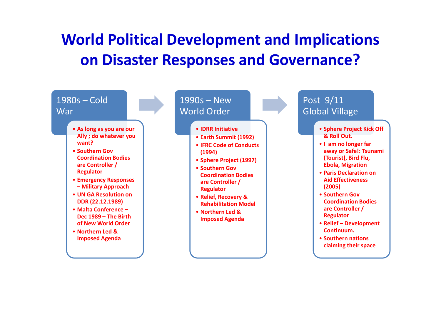#### World Political Development and Implications on Disaster Responses and Governance?

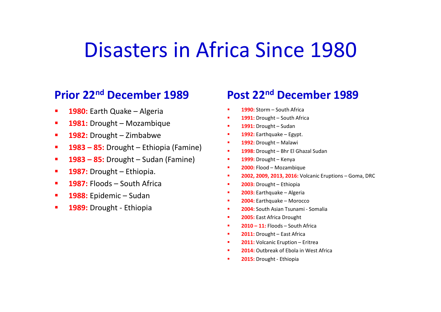#### Disasters in Africa Since 1980 **Disasters in Africa Since**<br> **Prior 22<sup>nd</sup> December 1989**<br> **Post 22<sup>nd</sup> December 1989**<br> **Post 22<sup>nd</sup> December 1989**<br> **Post 22<sup>nd</sup> December 1980**<br> **Post 22<sup>nd</sup> December 1980**<br> **Post 22<sup>nd</sup> December 1980**<br> **Post 22<sup>nd</sup> Dece Disasters in Africa Since<br>
Prior 22<sup>nd</sup> December 1989 Post 22<sup>nd</sup> Dec<br>
1980: Earth Quake – Algeria 1989 Post 22<sup>nd</sup> Dec<br>
1981: Drought – Mozambique<br>
1982: Drought – Ethiopia (Famine)<br>
1983 – 85: Drought – Sudan (Famine)<br> Disasters in Africa Since**<br> **Prior 22<sup>nd</sup> December 1989**<br> **Post 22<sup>nd</sup> December 1989**<br> **Post 22<sup>nd</sup> December 1989**<br> **Post 22<sup>nd</sup> December 1989**<br> **Post 22<sup>nd</sup> December 1989**<br> **Post 22<sup>nd</sup> December 1989**<br> **Post 22<sup>nd</sup> Dece Disasters in Africa Since**<br> **Prior 22<sup>nd</sup> December 1989**<br> **Post 22<sup>nd</sup> December 1989**<br> **Post 22<sup>nd</sup> December 1980**<br> **Post 22<sup>nd</sup> Decem**<br> **Post 22<sup>nd</sup> Decem**<br> **Post 22<sup>nd</sup> December 1980**<br> **Post 22<sup>nd</sup> December 1980**<br> **Pos Disasters in Africa Since**<br>
1980: Earth Quake – Algeria<br>
1980: Earth Quake – Algeria<br>
1981: Drought – Mozambique<br>
1981: Drought – Mozambique<br>
1982: Drought – Ethiopia (Famine)<br>
1983 – 85: Drought – Ethiopia (Famine)<br>
198 **Disasters in Africa Since 1988**<br> **Prior 22<sup>nd</sup> December 1989**<br> **Post 22<sup>nd</sup> Dec**<br> **1980:** Earth Quake – Algeria<br> **1981:** Drought – Mozambique<br> **1982:** Drought – Zimbabwe<br> **1983 – 85:** Drought – Ethiopia (Famine)<br> **1983 – Prior 22<sup>nd</sup> December 1989**<br> **Prior 22<sup>nd</sup> December 1989**<br> **Post 22<sup>nd</sup> De<br>
1980:** Earth Quake – Algeria<br> **1981:** Drought – Mozambique<br> **1982:** Drought – Ethiopia (Famine)<br> **1983 – 85:** Drought – Ethiopia (Famine)<br> **1983** Ca Since 1980<br>Post 22<sup>nd</sup> December 1989<br>1990: Storm – South Africa<br>1991: Drought – South Africa<br>1991: Drought – Sudan<br>1992: Earthquake – Egypt.<br>1992: Brought – Malawi 1991: Drought – South Africa Ca Since 1980<br>
Post 22<sup>nd</sup> December 1989<br>
1990: Storm – South Africa<br>
1991: Drought – South Africa<br>
1991: Drought – Sudan<br>
1992: Earthquake – Egypt.<br>
1992: Drought – Malawi<br>
1998: Drought – Bhr El Ghazal Sudan<br>
1998: Drou 1<br> **1992: Earthquake – Egypt. December 1989**<br>
1993: Storm – South Africa<br>
1993: Drought – Sudan<br>
1992: Earthquake – Egypt.<br>
1992: Drought – Malawi 1998: Drought – Malawi 1998: Drought – Malawi 1998: Drought – Malawi 1 **Ca Since 1980**<br> **Post 22<sup>nd</sup> December 1989**<br> **Post 22nd December 1989**<br> **Post** 201<sup>m</sup> – South Africa<br> **1991:** Drought – Sudan<br> **1992:** Earthquake – Egypt.<br> **1992:** Drought – Malawi<br> **1998:** Drought – Kenya<br> **1998: Drought** Ca Since 1980<br>
Post 22<sup>nd</sup> December 1989<br>
1990: Storm – South Africa<br>
1991: Drought – South Africa<br>
1992: Earthquake – Egypt.<br>
1992: Earthquake – Egypt.<br>
1992: Drought – Malawi<br>
1998: Drought – Malawi<br>
1998: Drought – Kery **Post 22<sup>nd</sup> December 1989**<br> **Post 22<sup>nd</sup> December 1989**<br> **2013**: Drought – South Africa<br> **2013**: Drought – Sudan<br> **2021:** Extriquale – Egypt.<br> **2021:** Extriquale – Expyt.<br> **2021:** Extriquale – Extripais<br> **2003: Earthquale**

# Prior 22nd December 1989 **Prior 22nd December 1989**<br> **1980:** Earth Quake – Algeria<br> **1981:** Drought – Mozambique<br> **1993:** Drought – Zimbabwe<br> **1993 – 85:** Drought – Ethiopia (Famine)<br> **1993 – 85:** Drought – Sudan (Famine)<br> **1987:** Drought – Ethio **Prior 22nd December 1989**<br> **1980:** Earth Quake - Algeria<br> **1981:** Drought - Mozambique<br> **1982:** Drought - Zimbabwe<br> **1982:** Drought - Zimbabwe<br> **1983 - 85:** Drought - Sudan (Famine)<br> **1983 - 85:** Drought - Sudan (Famine)

- 
- 
- 
- 
- 
- 
- 
- 
- 

# Post 22nd December 1989 **POSt 22<sup>nd</sup> December 1989**<br> **POSt 22<sup>nd</sup> December 1989**<br> **POSt** 22<sup>nd</sup> December 1989<br> **POST** 1991: Drought – South Africa<br> **POSE** 1992: Earthquake – Egypt.<br> **POSE** 1992: Drought – Malawi<br> **POSE** 1992: Drought – Blure El G **Post 22<sup>nd</sup> December 1989**<br> **2003:** Storm – South Africa<br> **2003:** Drought – South Africa<br> **2003:** Earthquake – Egypt.<br> **2003:** Earthquake – Egypt.<br> **2003:** Drought – Mela Ghazal Sudan<br> **2003:** Drought – Bre El Ghazal Suda **POSt 22nd December 1989**<br>
1990: Storm – South Africa<br>
1991: Drought – Sudan<br>
1992: Earthquake – Egypt.<br>
1992: Drought – Malawi<br>
1998: Drought – Malawi<br>
1998: Drought – Malawi<br>
1999: Drought – Kenya<br>
1999: Drought – Kenya<br> **POSt 22nd December 1989**<br>
1990: Storm – South Africa<br>
1991: Drought – South Africa<br>
1992: Earthquake – Egypt.<br>
1992: Earthquake – Egypt.<br>
1998: Drought – Malawi<br>
1998: Drought – Malawi<br>
1999: Drought – Rerya<br>
1999: Drough **POST ZZ<sup>ING</sup> DECEMBER 1989**<br>
1990: Storm – South Africa<br>
1991: Drought – South Africa<br>
1991: Drought – Sudan<br>
1992: Earthquake – Egypt.<br>
1992: Drought – Malavi<br>
1998: Drought – Bhr El Ghazal Sudan<br>
1999: Drought – Ethiopi

- 
- 
- 
- 
- 
- 
- 
- 
- **2010:** Storm South Africa<br> **2011:** Drought South Africa<br> **2012:** Earthquake Egypt.<br> **2022:** Earthquake Egypt.<br> **2023:** Drought Malawi<br> **2023:** Drought Her El Ghazal Sudan<br> **2000:** Flood Mozambique<br> **2000:** F 1991: Drought – Southerned<br>
1991: Drought – Sudan<br>
1992: Earthquake – Egypt.<br>
1992: Drought – Malawi<br>
1998: Drought – Malawi<br>
1998: Drought – Meric Ghazal Sudan<br>
1998: Drought – Kenya<br>
2000: Flood – Mozambique<br>
2002, 2009, 1992: Barthquake – Egypt.<br>
1992: Barthquake – Egypt.<br>
1992: Drought – Bhr El Ghazal Sudan<br>
1999: Drought – Kenya<br>
2000: Flood – Mozambique<br>
2002, 2009, 2013, 2016: Volcanic Eruptions – Goma, DRC<br>
2003: Drought – Ethiopia<br>
- 
- 
- 
- 
- **2005:** East Africa Drought
- 
- 
- 
- 2014: Outbreak of Ebola in West Africa
-